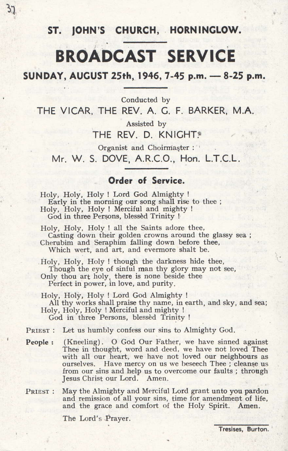ST. IOHN'S CHURCH. HORNINGLOW.

# **BROADCAST SERVICE**

SUNDAY, AUGUST 25th, 1946, 7-45 p.m. - 8-25 p.m.

Conducted by

THE VICAR, THE REV, A. G. F. BARKER, M.A.

Assisted by THE REV. D. KNIGHT\*

Organist and Choirmaster: Mr. W. S. DOVE, A.R.C.O., Hon. L.T.C.L.

# Order of Service.

Holy, Holy, Holy ! Lord God Almighty ! Early in the morning our song shall rise to thee; Holy, Holy, Holy ! Merciful and mighty !

God in three Persons, blessed Trinity !

Holy, Holy, Holy! all the Saints adore thee, Casting down their golden crowns around the glassy sea; Cherubim and Seraphim falling down before thee,

Which wert, and art, and evermore shalt be.

Holy, Holy, Holy ! though the darkness hide thee. Though the eye of sinful man thy glory may not see, Only thou art holy, there is none beside thee

Perfect in power, in love, and purity.

Holy, Holy, Holy ! Lord God Almighty ! All thy works shall praise thy name, in earth, and sky, and sea; Holy, Holy, Holy ! Merciful and mighty ! God in three Persons, blessed Trinity !

PRIEST : Let us humbly confess our sins to Almighty God.

(Kneeling). O God Our Father, we have sinned against People : Thee in thought, word and deed, we have not loved Thee with all our heart, we have not loved our neighbours as ourselves. Have mercy on us we beseech Thee ; cleanse us from our sins and help us to overcome our faults; through Jesus Christ our Lord. Amen.

May the Almighty and Merciful Lord grant unto you pardon PRIEST : and remission of all your sins, time for amendment of life, and the grace and comfort of the Holy Spirit. Amen.

The Lord's Prayer.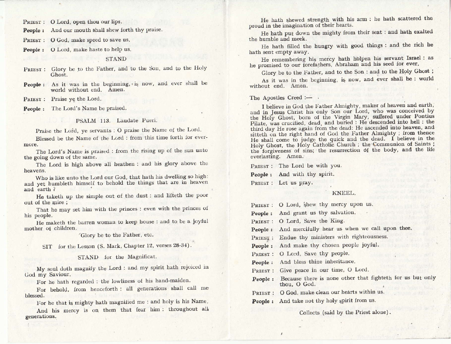PRIEST : O Lord, open thou our lips.

People : And our mouth shall shew forth thy praise.

PRIEST : O God, make speed to save us.

People : O Lord, make haste to help us.

## **STAND**

- PRIEST: Glory be to the Father, and to the Son, and to the Holy Ghost
- People: As it was in the beginning, is now, and ever shall be world without end. Amen.
- PRIEST : Praise ve the Lord.

People : The Lord's Name be praised.

PSALM 113. Laudate Pueri.

Praise the Lord, ye servants : O praise the Name of the Lord.

Blessed be the Name of the Lord : from this time forth for evermore.

The Lord's Name is praised : from the rising up of the sun unto the going down of the same.

The Lord is high above all heathen : and his glory above the heavens.

Who is like unto the Lord our God, that hath his dwelling so high: and yet humbleth himself to behold the things that are in heaven and earth ?

He taketh up the simple out of the dust : and lifteth the poor out of the mire :

That he may set him with the princes : even with the princes of his people.

He maketh the barren woman to keep house : and to be a joyful mother of children.

'Glory be to the Father, etc.

SIT for the Lesson (S. Mark, Chapter 12, verses 28-34).

STAND for the Magnificat.

My soul doth magnify the Lord : and my spirit hath rejoiced in God my Saviour.

For he hath regarded : the lowliness of his hand-maiden.

For behold, from henceforth : all generations shall call me blessed.

For he that is mighty hath magnified me : and holy is his Name.

And his mercy is on them that fear him: throughout all generations.

He hath shewed strength with his arm : he hath scattered the proud in the imagination of their hearts.

He hath put down the mighty from their seat : and hath exalted the humble and meek.

He hath filled the hungry with good things : and the rich he hath sent empty away.

He remembering his mercy hath holpen his servant Israel : as he promised to our forefathers, Abraham and his seed for ever.

Glory be to the Father, and to the Son : and to the Holy Ghost;

As it was in the beginning, is now, and ever shall be : world without end. Amen.

The Apostles Creed :-

I believe in God the Father Almighty, maker of heaven and earth, and in Jesus Christ his only Son our Lord, who was conceived by the Holy Ghost, born of the Virgin Mary, suffered under Pontius Pilate, was crucified, dead, and buried : He descended into hell : the third day He rose again from the dead: He ascended into heaven, and sitteth on the right hand of God the Father Almighty ; from thence He shall come to judge the quick and the dead. I believe in the Holy Ghost, the Holy Catholic Church ; the Communion of Saints ; the forgiveness of sins; the resurrection of the body, and the life everlasting. Amen.

PRIEST: The Lord be with you.

People : And with thy spirit.

PRIEST : Let us pray.

## KNEEL.

PRIEST: O Lord, shew thy mercy upon us. People: And grant us thy salvation. PRIEST : O Lord, Save the King. People: And mercifully hear us when we call upon thee. PRIEST : Endue thy ministers with righteousness. People: And make thy chosen people joyful. PRIEST : O Lord, Save thy people. People : And bless thine inheritance. PRIEST : Give peace in our time, O Lord. People : Because there is none other that fighteth for us but only thou, O God. PRIEST : O God, make clean our hearts within us.

People: And take not thy holy spirit from us.

Collects (said by the Priest alone).